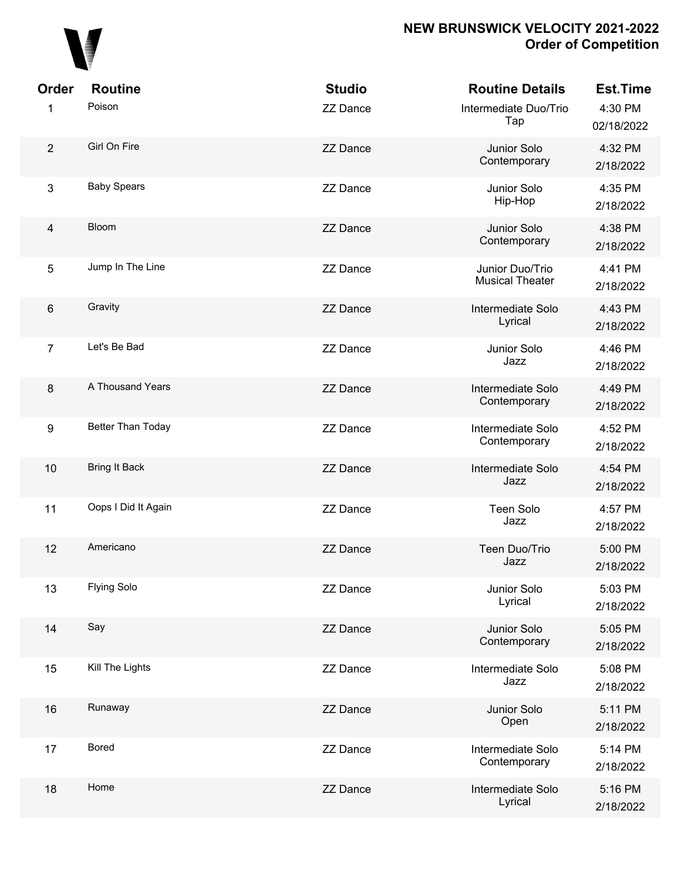

| <b>Order</b>            | <b>Routine</b>       | <b>Studio</b>   | <b>Routine Details</b>                    | <b>Est.Time</b>       |
|-------------------------|----------------------|-----------------|-------------------------------------------|-----------------------|
| 1                       | Poison               | <b>ZZ Dance</b> | Intermediate Duo/Trio<br>Tap              | 4:30 PM<br>02/18/2022 |
| $\overline{2}$          | Girl On Fire         | <b>ZZ Dance</b> | Junior Solo<br>Contemporary               | 4:32 PM<br>2/18/2022  |
| 3                       | <b>Baby Spears</b>   | <b>ZZ Dance</b> | Junior Solo<br>Hip-Hop                    | 4:35 PM<br>2/18/2022  |
| $\overline{\mathbf{4}}$ | <b>Bloom</b>         | <b>ZZ Dance</b> | Junior Solo<br>Contemporary               | 4:38 PM<br>2/18/2022  |
| 5                       | Jump In The Line     | <b>ZZ Dance</b> | Junior Duo/Trio<br><b>Musical Theater</b> | 4:41 PM<br>2/18/2022  |
| $\,6\,$                 | Gravity              | <b>ZZ Dance</b> | Intermediate Solo<br>Lyrical              | 4:43 PM<br>2/18/2022  |
| $\overline{7}$          | Let's Be Bad         | <b>ZZ Dance</b> | Junior Solo<br>Jazz                       | 4:46 PM<br>2/18/2022  |
| 8                       | A Thousand Years     | <b>ZZ Dance</b> | Intermediate Solo<br>Contemporary         | 4:49 PM<br>2/18/2022  |
| $\boldsymbol{9}$        | Better Than Today    | <b>ZZ Dance</b> | Intermediate Solo<br>Contemporary         | 4:52 PM<br>2/18/2022  |
| 10                      | <b>Bring It Back</b> | <b>ZZ Dance</b> | Intermediate Solo<br>Jazz                 | 4:54 PM<br>2/18/2022  |
| 11                      | Oops I Did It Again  | <b>ZZ Dance</b> | <b>Teen Solo</b><br>Jazz                  | 4:57 PM<br>2/18/2022  |
| 12                      | Americano            | <b>ZZ Dance</b> | Teen Duo/Trio<br>Jazz                     | 5:00 PM<br>2/18/2022  |
| 13                      | <b>Flying Solo</b>   | <b>ZZ Dance</b> | Junior Solo<br>Lyrical                    | 5:03 PM<br>2/18/2022  |
| 14                      | Say                  | <b>ZZ Dance</b> | Junior Solo<br>Contemporary               | 5:05 PM<br>2/18/2022  |
| 15                      | Kill The Lights      | <b>ZZ Dance</b> | Intermediate Solo<br>Jazz                 | 5:08 PM<br>2/18/2022  |
| 16                      | Runaway              | <b>ZZ Dance</b> | Junior Solo<br>Open                       | 5:11 PM<br>2/18/2022  |
| 17                      | <b>Bored</b>         | <b>ZZ Dance</b> | Intermediate Solo<br>Contemporary         | 5:14 PM<br>2/18/2022  |
| 18                      | Home                 | <b>ZZ Dance</b> | Intermediate Solo<br>Lyrical              | 5:16 PM<br>2/18/2022  |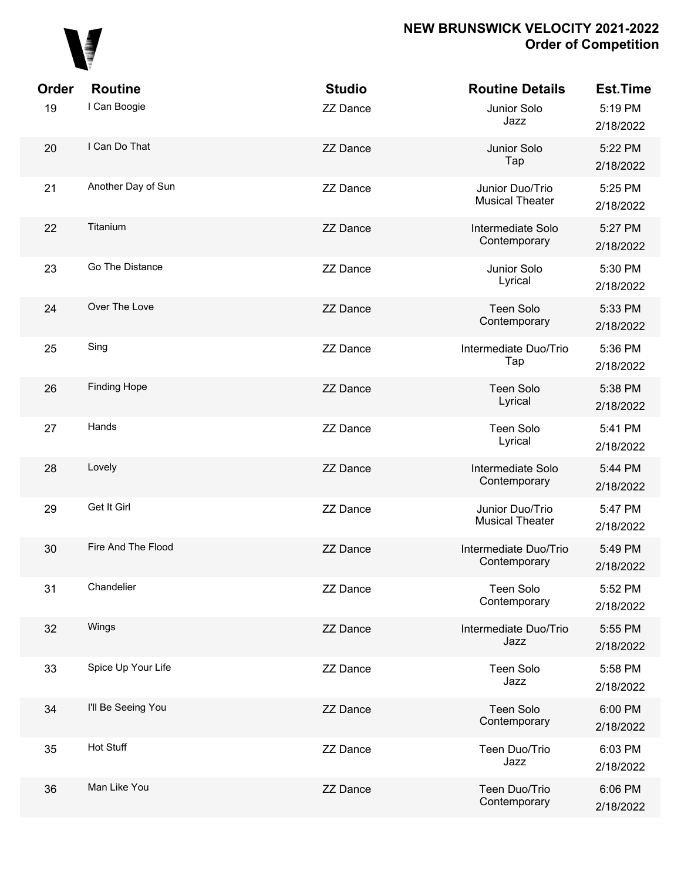

| Order | <b>Routine</b>      | <b>Studio</b>   | <b>Routine Details</b>                    | Est.Time             |
|-------|---------------------|-----------------|-------------------------------------------|----------------------|
| 19    | I Can Boogie        | <b>ZZ Dance</b> | Junior Solo<br>Jazz                       | 5:19 PM<br>2/18/2022 |
| 20    | I Can Do That       | <b>ZZ Dance</b> | Junior Solo<br>Tap                        | 5:22 PM<br>2/18/2022 |
| 21    | Another Day of Sun  | <b>ZZ Dance</b> | Junior Duo/Trio<br><b>Musical Theater</b> | 5:25 PM<br>2/18/2022 |
| 22    | Titanium            | <b>ZZ Dance</b> | Intermediate Solo<br>Contemporary         | 5:27 PM<br>2/18/2022 |
| 23    | Go The Distance     | <b>ZZ Dance</b> | Junior Solo<br>Lyrical                    | 5:30 PM<br>2/18/2022 |
| 24    | Over The Love       | <b>ZZ Dance</b> | <b>Teen Solo</b><br>Contemporary          | 5:33 PM<br>2/18/2022 |
| 25    | Sing                | <b>ZZ Dance</b> | Intermediate Duo/Trio<br>Tap              | 5:36 PM<br>2/18/2022 |
| 26    | <b>Finding Hope</b> | <b>ZZ Dance</b> | <b>Teen Solo</b><br>Lyrical               | 5:38 PM<br>2/18/2022 |
| 27    | Hands               | <b>ZZ Dance</b> | <b>Teen Solo</b><br>Lyrical               | 5:41 PM<br>2/18/2022 |
| 28    | Lovely              | <b>ZZ Dance</b> | Intermediate Solo<br>Contemporary         | 5:44 PM<br>2/18/2022 |
| 29    | Get It Girl         | <b>ZZ Dance</b> | Junior Duo/Trio<br><b>Musical Theater</b> | 5:47 PM<br>2/18/2022 |
| 30    | Fire And The Flood  | <b>ZZ Dance</b> | Intermediate Duo/Trio<br>Contemporary     | 5:49 PM<br>2/18/2022 |
| 31    | Chandelier          | <b>ZZ Dance</b> | Teen Solo<br>Contemporary                 | 5:52 PM<br>2/18/2022 |
| 32    | Wings               | <b>ZZ Dance</b> | Intermediate Duo/Trio<br>Jazz             | 5:55 PM<br>2/18/2022 |
| 33    | Spice Up Your Life  | <b>ZZ Dance</b> | Teen Solo<br>Jazz                         | 5:58 PM<br>2/18/2022 |
| 34    | I'll Be Seeing You  | <b>ZZ Dance</b> | <b>Teen Solo</b><br>Contemporary          | 6:00 PM<br>2/18/2022 |
| 35    | Hot Stuff           | <b>ZZ Dance</b> | Teen Duo/Trio<br>Jazz                     | 6:03 PM<br>2/18/2022 |
| 36    | Man Like You        | <b>ZZ Dance</b> | Teen Duo/Trio<br>Contemporary             | 6:06 PM<br>2/18/2022 |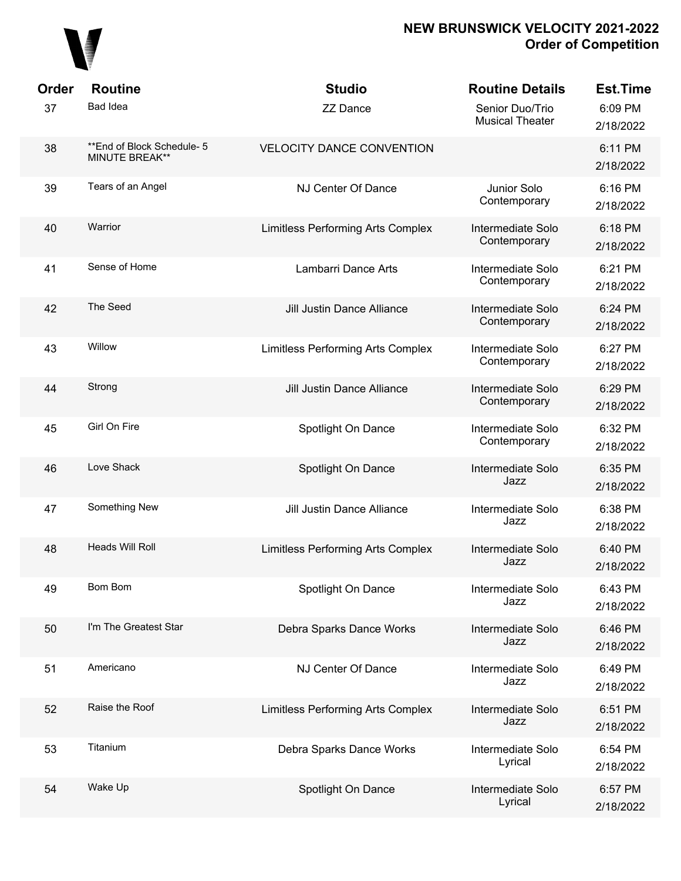

| Order | <b>Routine</b>                                       | <b>Studio</b>                     | <b>Routine Details</b>                    | <b>Est.Time</b>      |
|-------|------------------------------------------------------|-----------------------------------|-------------------------------------------|----------------------|
| 37    | <b>Bad Idea</b>                                      | <b>ZZ Dance</b>                   | Senior Duo/Trio<br><b>Musical Theater</b> | 6:09 PM<br>2/18/2022 |
| 38    | ** End of Block Schedule- 5<br><b>MINUTE BREAK**</b> | <b>VELOCITY DANCE CONVENTION</b>  |                                           | 6:11 PM<br>2/18/2022 |
| 39    | Tears of an Angel                                    | NJ Center Of Dance                | Junior Solo<br>Contemporary               | 6:16 PM<br>2/18/2022 |
| 40    | Warrior                                              | Limitless Performing Arts Complex | Intermediate Solo<br>Contemporary         | 6:18 PM<br>2/18/2022 |
| 41    | Sense of Home                                        | Lambarri Dance Arts               | Intermediate Solo<br>Contemporary         | 6:21 PM<br>2/18/2022 |
| 42    | The Seed                                             | Jill Justin Dance Alliance        | Intermediate Solo<br>Contemporary         | 6:24 PM<br>2/18/2022 |
| 43    | Willow                                               | Limitless Performing Arts Complex | Intermediate Solo<br>Contemporary         | 6:27 PM<br>2/18/2022 |
| 44    | Strong                                               | Jill Justin Dance Alliance        | Intermediate Solo<br>Contemporary         | 6:29 PM<br>2/18/2022 |
| 45    | Girl On Fire                                         | Spotlight On Dance                | Intermediate Solo<br>Contemporary         | 6:32 PM<br>2/18/2022 |
| 46    | Love Shack                                           | Spotlight On Dance                | Intermediate Solo<br>Jazz                 | 6:35 PM<br>2/18/2022 |
| 47    | Something New                                        | Jill Justin Dance Alliance        | Intermediate Solo<br>Jazz                 | 6:38 PM<br>2/18/2022 |
| 48    | Heads Will Roll                                      | Limitless Performing Arts Complex | Intermediate Solo<br>Jazz                 | 6:40 PM<br>2/18/2022 |
| 49    | Bom Bom                                              | Spotlight On Dance                | Intermediate Solo<br>Jazz                 | 6:43 PM<br>2/18/2022 |
| 50    | I'm The Greatest Star                                | Debra Sparks Dance Works          | Intermediate Solo<br>Jazz                 | 6:46 PM<br>2/18/2022 |
| 51    | Americano                                            | NJ Center Of Dance                | Intermediate Solo<br>Jazz                 | 6:49 PM<br>2/18/2022 |
| 52    | Raise the Roof                                       | Limitless Performing Arts Complex | Intermediate Solo<br>Jazz                 | 6:51 PM<br>2/18/2022 |
| 53    | Titanium                                             | Debra Sparks Dance Works          | Intermediate Solo<br>Lyrical              | 6:54 PM<br>2/18/2022 |
| 54    | Wake Up                                              | Spotlight On Dance                | Intermediate Solo<br>Lyrical              | 6:57 PM<br>2/18/2022 |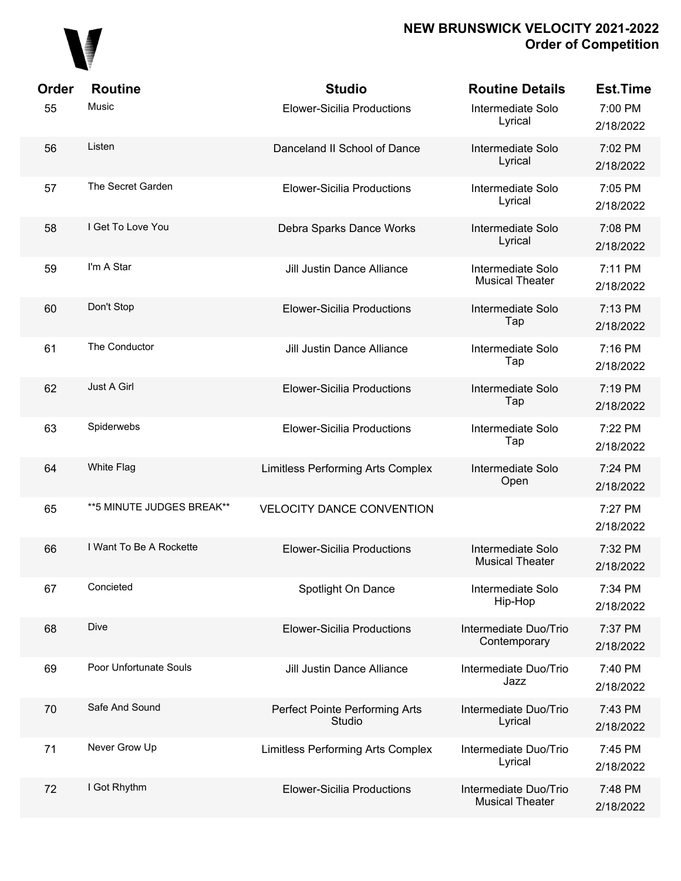

| Order | <b>Routine</b>             | <b>Studio</b>                            | <b>Routine Details</b>                          | <b>Est.Time</b>      |
|-------|----------------------------|------------------------------------------|-------------------------------------------------|----------------------|
| 55    | Music                      | <b>Elower-Sicilia Productions</b>        | Intermediate Solo<br>Lyrical                    | 7:00 PM<br>2/18/2022 |
| 56    | Listen                     | Danceland II School of Dance             | Intermediate Solo<br>Lyrical                    | 7:02 PM<br>2/18/2022 |
| 57    | The Secret Garden          | <b>Elower-Sicilia Productions</b>        | Intermediate Solo<br>Lyrical                    | 7:05 PM<br>2/18/2022 |
| 58    | I Get To Love You          | Debra Sparks Dance Works                 | Intermediate Solo<br>Lyrical                    | 7:08 PM<br>2/18/2022 |
| 59    | I'm A Star                 | <b>Jill Justin Dance Alliance</b>        | Intermediate Solo<br><b>Musical Theater</b>     | 7:11 PM<br>2/18/2022 |
| 60    | Don't Stop                 | <b>Elower-Sicilia Productions</b>        | Intermediate Solo<br>Tap                        | 7:13 PM<br>2/18/2022 |
| 61    | The Conductor              | <b>Jill Justin Dance Alliance</b>        | Intermediate Solo<br>Tap                        | 7:16 PM<br>2/18/2022 |
| 62    | Just A Girl                | <b>Elower-Sicilia Productions</b>        | Intermediate Solo<br>Tap                        | 7:19 PM<br>2/18/2022 |
| 63    | Spiderwebs                 | <b>Elower-Sicilia Productions</b>        | Intermediate Solo<br>Tap                        | 7:22 PM<br>2/18/2022 |
| 64    | White Flag                 | Limitless Performing Arts Complex        | Intermediate Solo<br>Open                       | 7:24 PM<br>2/18/2022 |
| 65    | ** 5 MINUTE JUDGES BREAK** | <b>VELOCITY DANCE CONVENTION</b>         |                                                 | 7:27 PM<br>2/18/2022 |
| 66    | I Want To Be A Rockette    | <b>Elower-Sicilia Productions</b>        | Intermediate Solo<br><b>Musical Theater</b>     | 7:32 PM<br>2/18/2022 |
| 67    | Concieted                  | Spotlight On Dance                       | Intermediate Solo<br>Hip-Hop                    | 7:34 PM<br>2/18/2022 |
| 68    | Dive                       | <b>Elower-Sicilia Productions</b>        | Intermediate Duo/Trio<br>Contemporary           | 7:37 PM<br>2/18/2022 |
| 69    | Poor Unfortunate Souls     | Jill Justin Dance Alliance               | Intermediate Duo/Trio<br>Jazz                   | 7:40 PM<br>2/18/2022 |
| 70    | Safe And Sound             | Perfect Pointe Performing Arts<br>Studio | Intermediate Duo/Trio<br>Lyrical                | 7:43 PM<br>2/18/2022 |
| 71    | Never Grow Up              | Limitless Performing Arts Complex        | Intermediate Duo/Trio<br>Lyrical                | 7:45 PM<br>2/18/2022 |
| 72    | I Got Rhythm               | <b>Elower-Sicilia Productions</b>        | Intermediate Duo/Trio<br><b>Musical Theater</b> | 7:48 PM<br>2/18/2022 |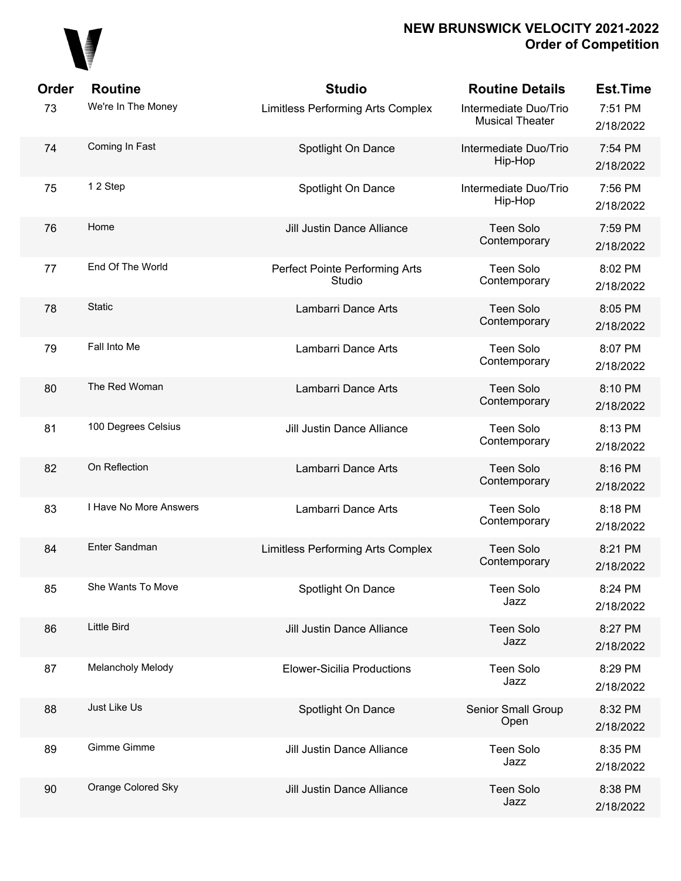## 

| Order | <b>Routine</b>         | <b>Studio</b>                            | <b>Routine Details</b>                          | <b>Est.Time</b>      |
|-------|------------------------|------------------------------------------|-------------------------------------------------|----------------------|
| 73    | We're In The Money     | Limitless Performing Arts Complex        | Intermediate Duo/Trio<br><b>Musical Theater</b> | 7:51 PM<br>2/18/2022 |
| 74    | Coming In Fast         | Spotlight On Dance                       | Intermediate Duo/Trio<br>Hip-Hop                | 7:54 PM<br>2/18/2022 |
| 75    | 12 Step                | Spotlight On Dance                       | Intermediate Duo/Trio<br>Hip-Hop                | 7:56 PM<br>2/18/2022 |
| 76    | Home                   | Jill Justin Dance Alliance               | <b>Teen Solo</b><br>Contemporary                | 7:59 PM<br>2/18/2022 |
| 77    | End Of The World       | Perfect Pointe Performing Arts<br>Studio | <b>Teen Solo</b><br>Contemporary                | 8:02 PM<br>2/18/2022 |
| 78    | <b>Static</b>          | Lambarri Dance Arts                      | <b>Teen Solo</b><br>Contemporary                | 8:05 PM<br>2/18/2022 |
| 79    | Fall Into Me           | Lambarri Dance Arts                      | <b>Teen Solo</b><br>Contemporary                | 8:07 PM<br>2/18/2022 |
| 80    | The Red Woman          | Lambarri Dance Arts                      | <b>Teen Solo</b><br>Contemporary                | 8:10 PM<br>2/18/2022 |
| 81    | 100 Degrees Celsius    | Jill Justin Dance Alliance               | <b>Teen Solo</b><br>Contemporary                | 8:13 PM<br>2/18/2022 |
| 82    | On Reflection          | Lambarri Dance Arts                      | <b>Teen Solo</b><br>Contemporary                | 8:16 PM<br>2/18/2022 |
| 83    | I Have No More Answers | Lambarri Dance Arts                      | <b>Teen Solo</b><br>Contemporary                | 8:18 PM<br>2/18/2022 |
| 84    | Enter Sandman          | Limitless Performing Arts Complex        | <b>Teen Solo</b><br>Contemporary                | 8:21 PM<br>2/18/2022 |
| 85    | She Wants To Move      | Spotlight On Dance                       | <b>Teen Solo</b><br>Jazz                        | 8:24 PM<br>2/18/2022 |
| 86    | <b>Little Bird</b>     | Jill Justin Dance Alliance               | <b>Teen Solo</b><br>Jazz                        | 8:27 PM<br>2/18/2022 |
| 87    | Melancholy Melody      | <b>Elower-Sicilia Productions</b>        | <b>Teen Solo</b><br>Jazz                        | 8:29 PM<br>2/18/2022 |
| 88    | Just Like Us           | Spotlight On Dance                       | Senior Small Group<br>Open                      | 8:32 PM<br>2/18/2022 |
| 89    | Gimme Gimme            | Jill Justin Dance Alliance               | <b>Teen Solo</b><br>Jazz                        | 8:35 PM<br>2/18/2022 |
| 90    | Orange Colored Sky     | Jill Justin Dance Alliance               | <b>Teen Solo</b><br>Jazz                        | 8:38 PM<br>2/18/2022 |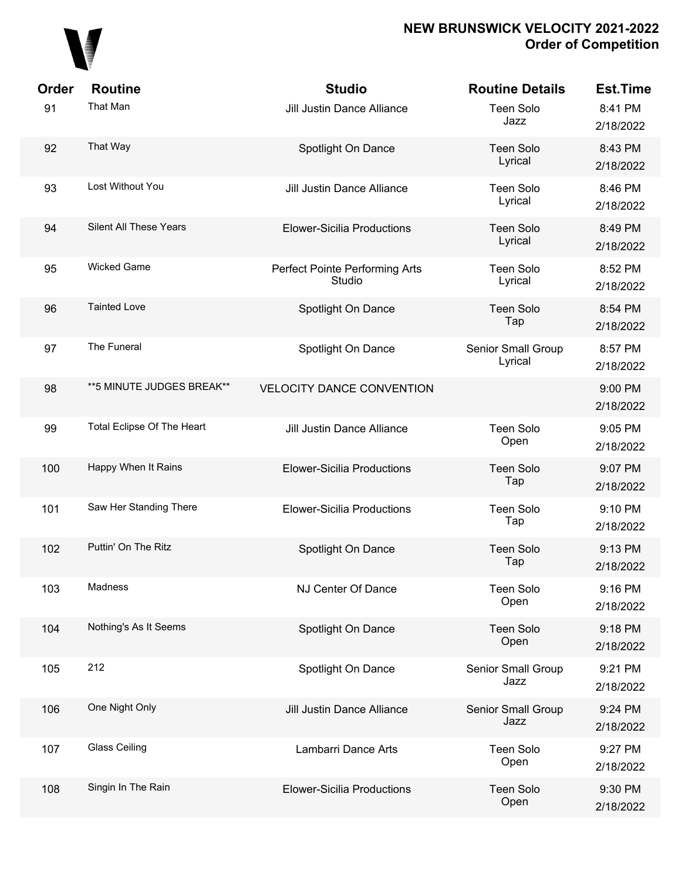

| Order | <b>Routine</b>             | <b>Studio</b>                            | <b>Routine Details</b>        | <b>Est.Time</b>      |
|-------|----------------------------|------------------------------------------|-------------------------------|----------------------|
| 91    | That Man                   | <b>Jill Justin Dance Alliance</b>        | <b>Teen Solo</b><br>Jazz      | 8:41 PM<br>2/18/2022 |
| 92    | That Way                   | Spotlight On Dance                       | <b>Teen Solo</b><br>Lyrical   | 8:43 PM<br>2/18/2022 |
| 93    | Lost Without You           | <b>Jill Justin Dance Alliance</b>        | <b>Teen Solo</b><br>Lyrical   | 8:46 PM<br>2/18/2022 |
| 94    | Silent All These Years     | <b>Elower-Sicilia Productions</b>        | <b>Teen Solo</b><br>Lyrical   | 8:49 PM<br>2/18/2022 |
| 95    | <b>Wicked Game</b>         | Perfect Pointe Performing Arts<br>Studio | <b>Teen Solo</b><br>Lyrical   | 8:52 PM<br>2/18/2022 |
| 96    | <b>Tainted Love</b>        | Spotlight On Dance                       | <b>Teen Solo</b><br>Tap       | 8:54 PM<br>2/18/2022 |
| 97    | The Funeral                | Spotlight On Dance                       | Senior Small Group<br>Lyrical | 8:57 PM<br>2/18/2022 |
| 98    | ** 5 MINUTE JUDGES BREAK** | <b>VELOCITY DANCE CONVENTION</b>         |                               | 9:00 PM<br>2/18/2022 |
| 99    | Total Eclipse Of The Heart | <b>Jill Justin Dance Alliance</b>        | <b>Teen Solo</b><br>Open      | 9:05 PM<br>2/18/2022 |
| 100   | Happy When It Rains        | <b>Elower-Sicilia Productions</b>        | <b>Teen Solo</b><br>Tap       | 9:07 PM<br>2/18/2022 |
| 101   | Saw Her Standing There     | <b>Elower-Sicilia Productions</b>        | <b>Teen Solo</b><br>Tap       | 9:10 PM<br>2/18/2022 |
| 102   | Puttin' On The Ritz        | Spotlight On Dance                       | <b>Teen Solo</b><br>Tap       | 9:13 PM<br>2/18/2022 |
| 103   | Madness                    | NJ Center Of Dance                       | Teen Solo<br>Open             | 9:16 PM<br>2/18/2022 |
| 104   | Nothing's As It Seems      | Spotlight On Dance                       | Teen Solo<br>Open             | 9:18 PM<br>2/18/2022 |
| 105   | 212                        | Spotlight On Dance                       | Senior Small Group<br>Jazz    | 9:21 PM<br>2/18/2022 |
| 106   | One Night Only             | <b>Jill Justin Dance Alliance</b>        | Senior Small Group<br>Jazz    | 9:24 PM<br>2/18/2022 |
| 107   | <b>Glass Ceiling</b>       | Lambarri Dance Arts                      | <b>Teen Solo</b><br>Open      | 9:27 PM<br>2/18/2022 |
| 108   | Singin In The Rain         | <b>Elower-Sicilia Productions</b>        | Teen Solo<br>Open             | 9:30 PM<br>2/18/2022 |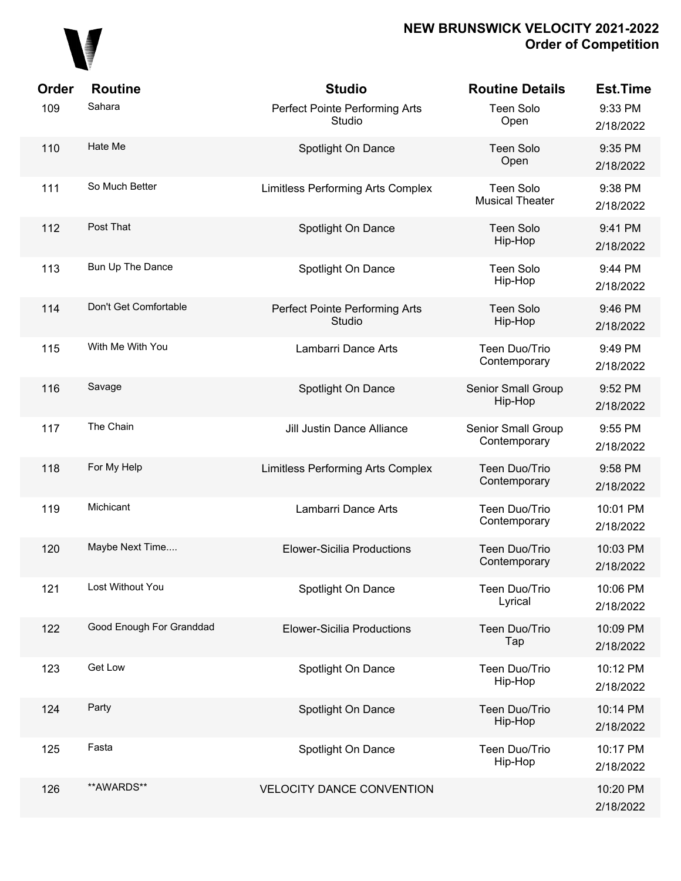

| Order | <b>Routine</b>           | <b>Studio</b>                            | <b>Routine Details</b>              | <b>Est.Time</b>       |
|-------|--------------------------|------------------------------------------|-------------------------------------|-----------------------|
| 109   | Sahara                   | Perfect Pointe Performing Arts<br>Studio | Teen Solo<br>Open                   | 9:33 PM<br>2/18/2022  |
| 110   | Hate Me                  | Spotlight On Dance                       | <b>Teen Solo</b><br>Open            | 9:35 PM<br>2/18/2022  |
| 111   | So Much Better           | Limitless Performing Arts Complex        | Teen Solo<br><b>Musical Theater</b> | 9:38 PM<br>2/18/2022  |
| 112   | Post That                | Spotlight On Dance                       | <b>Teen Solo</b><br>Hip-Hop         | 9:41 PM<br>2/18/2022  |
| 113   | Bun Up The Dance         | Spotlight On Dance                       | Teen Solo<br>Hip-Hop                | 9:44 PM<br>2/18/2022  |
| 114   | Don't Get Comfortable    | Perfect Pointe Performing Arts<br>Studio | <b>Teen Solo</b><br>Hip-Hop         | 9:46 PM<br>2/18/2022  |
| 115   | With Me With You         | Lambarri Dance Arts                      | Teen Duo/Trio<br>Contemporary       | 9:49 PM<br>2/18/2022  |
| 116   | Savage                   | Spotlight On Dance                       | Senior Small Group<br>Hip-Hop       | 9:52 PM<br>2/18/2022  |
| 117   | The Chain                | Jill Justin Dance Alliance               | Senior Small Group<br>Contemporary  | 9:55 PM<br>2/18/2022  |
| 118   | For My Help              | Limitless Performing Arts Complex        | Teen Duo/Trio<br>Contemporary       | 9:58 PM<br>2/18/2022  |
| 119   | Michicant                | Lambarri Dance Arts                      | Teen Duo/Trio<br>Contemporary       | 10:01 PM<br>2/18/2022 |
| 120   | Maybe Next Time          | <b>Elower-Sicilia Productions</b>        | Teen Duo/Trio<br>Contemporary       | 10:03 PM<br>2/18/2022 |
| 121   | Lost Without You         | Spotlight On Dance                       | Teen Duo/Trio<br>Lyrical            | 10:06 PM<br>2/18/2022 |
| 122   | Good Enough For Granddad | <b>Elower-Sicilia Productions</b>        | Teen Duo/Trio<br>Tap                | 10:09 PM<br>2/18/2022 |
| 123   | Get Low                  | Spotlight On Dance                       | Teen Duo/Trio<br>Hip-Hop            | 10:12 PM<br>2/18/2022 |
| 124   | Party                    | Spotlight On Dance                       | Teen Duo/Trio<br>Hip-Hop            | 10:14 PM<br>2/18/2022 |
| 125   | Fasta                    | Spotlight On Dance                       | Teen Duo/Trio<br>Hip-Hop            | 10:17 PM<br>2/18/2022 |
| 126   | **AWARDS**               | <b>VELOCITY DANCE CONVENTION</b>         |                                     | 10:20 PM<br>2/18/2022 |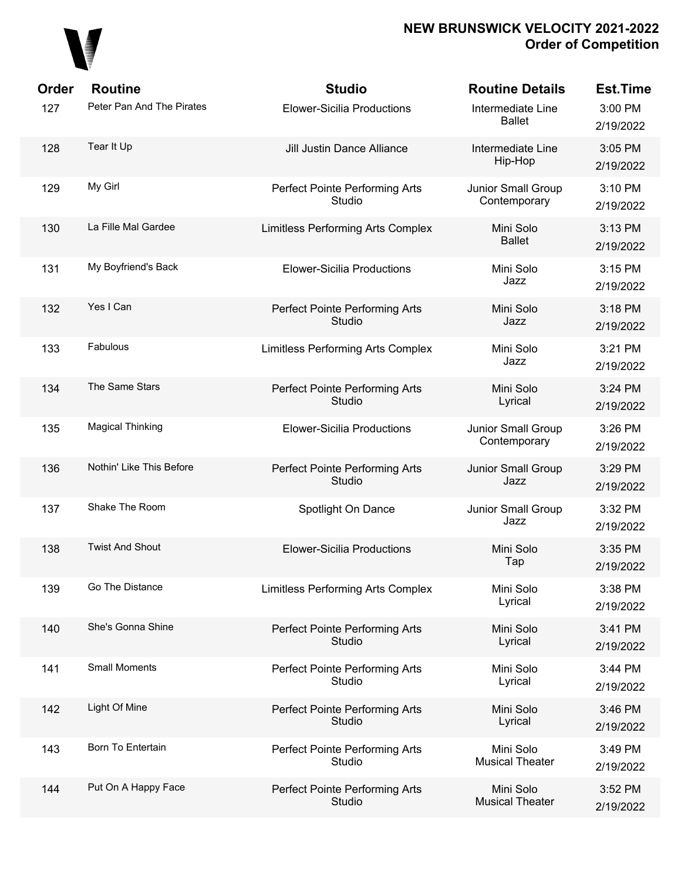

| Order | <b>Routine</b>            | <b>Studio</b>                            | <b>Routine Details</b>              | <b>Est.Time</b>      |
|-------|---------------------------|------------------------------------------|-------------------------------------|----------------------|
| 127   | Peter Pan And The Pirates | <b>Elower-Sicilia Productions</b>        | Intermediate Line<br><b>Ballet</b>  | 3:00 PM<br>2/19/2022 |
| 128   | Tear It Up                | Jill Justin Dance Alliance               | Intermediate Line<br>Hip-Hop        | 3:05 PM<br>2/19/2022 |
| 129   | My Girl                   | Perfect Pointe Performing Arts<br>Studio | Junior Small Group<br>Contemporary  | 3:10 PM<br>2/19/2022 |
| 130   | La Fille Mal Gardee       | Limitless Performing Arts Complex        | Mini Solo<br><b>Ballet</b>          | 3:13 PM<br>2/19/2022 |
| 131   | My Boyfriend's Back       | <b>Elower-Sicilia Productions</b>        | Mini Solo<br>Jazz                   | 3:15 PM<br>2/19/2022 |
| 132   | Yes I Can                 | Perfect Pointe Performing Arts<br>Studio | Mini Solo<br>Jazz                   | 3:18 PM<br>2/19/2022 |
| 133   | Fabulous                  | Limitless Performing Arts Complex        | Mini Solo<br>Jazz                   | 3:21 PM<br>2/19/2022 |
| 134   | The Same Stars            | Perfect Pointe Performing Arts<br>Studio | Mini Solo<br>Lyrical                | 3:24 PM<br>2/19/2022 |
| 135   | <b>Magical Thinking</b>   | <b>Elower-Sicilia Productions</b>        | Junior Small Group<br>Contemporary  | 3:26 PM<br>2/19/2022 |
| 136   | Nothin' Like This Before  | Perfect Pointe Performing Arts<br>Studio | Junior Small Group<br>Jazz          | 3:29 PM<br>2/19/2022 |
| 137   | Shake The Room            | Spotlight On Dance                       | Junior Small Group<br>Jazz          | 3:32 PM<br>2/19/2022 |
| 138   | <b>Twist And Shout</b>    | <b>Elower-Sicilia Productions</b>        | Mini Solo<br>Tap                    | 3:35 PM<br>2/19/2022 |
| 139   | Go The Distance           | Limitless Performing Arts Complex        | Mini Solo<br>Lyrical                | 3:38 PM<br>2/19/2022 |
| 140   | She's Gonna Shine         | Perfect Pointe Performing Arts<br>Studio | Mini Solo<br>Lyrical                | 3:41 PM<br>2/19/2022 |
| 141   | <b>Small Moments</b>      | Perfect Pointe Performing Arts<br>Studio | Mini Solo<br>Lyrical                | 3:44 PM<br>2/19/2022 |
| 142   | Light Of Mine             | Perfect Pointe Performing Arts<br>Studio | Mini Solo<br>Lyrical                | 3:46 PM<br>2/19/2022 |
| 143   | Born To Entertain         | Perfect Pointe Performing Arts<br>Studio | Mini Solo<br><b>Musical Theater</b> | 3:49 PM<br>2/19/2022 |
| 144   | Put On A Happy Face       | Perfect Pointe Performing Arts<br>Studio | Mini Solo<br><b>Musical Theater</b> | 3:52 PM<br>2/19/2022 |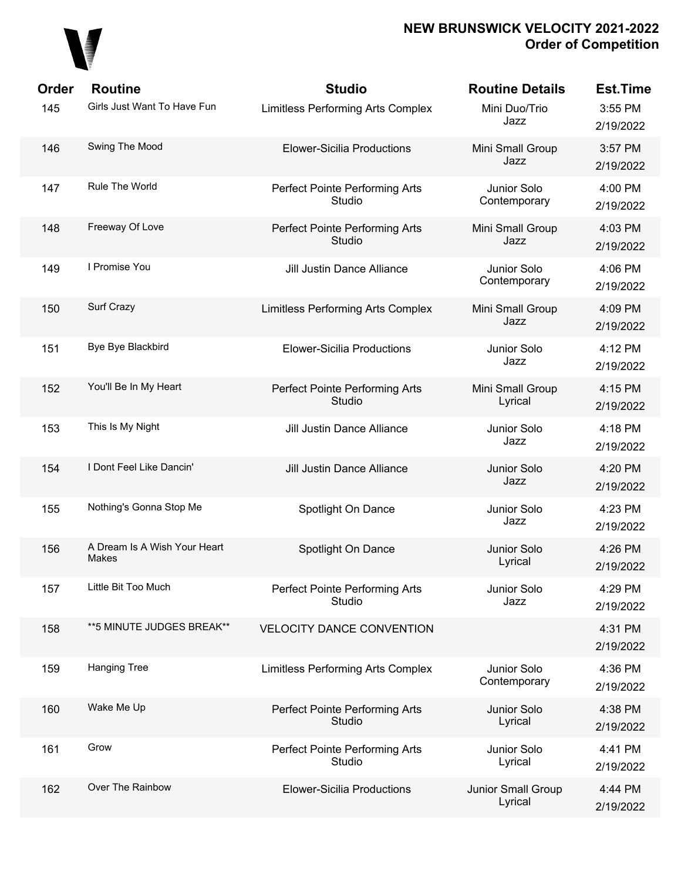

| <b>Order</b> | <b>Routine</b>                        | <b>Studio</b>                            | <b>Routine Details</b>        | <b>Est.Time</b>      |
|--------------|---------------------------------------|------------------------------------------|-------------------------------|----------------------|
| 145          | Girls Just Want To Have Fun           | <b>Limitless Performing Arts Complex</b> | Mini Duo/Trio<br>Jazz         | 3:55 PM<br>2/19/2022 |
| 146          | Swing The Mood                        | <b>Elower-Sicilia Productions</b>        | Mini Small Group<br>Jazz      | 3:57 PM<br>2/19/2022 |
| 147          | Rule The World                        | Perfect Pointe Performing Arts<br>Studio | Junior Solo<br>Contemporary   | 4:00 PM<br>2/19/2022 |
| 148          | Freeway Of Love                       | Perfect Pointe Performing Arts<br>Studio | Mini Small Group<br>Jazz      | 4:03 PM<br>2/19/2022 |
| 149          | I Promise You                         | Jill Justin Dance Alliance               | Junior Solo<br>Contemporary   | 4:06 PM<br>2/19/2022 |
| 150          | Surf Crazy                            | Limitless Performing Arts Complex        | Mini Small Group<br>Jazz      | 4:09 PM<br>2/19/2022 |
| 151          | Bye Bye Blackbird                     | <b>Elower-Sicilia Productions</b>        | Junior Solo<br>Jazz           | 4:12 PM<br>2/19/2022 |
| 152          | You'll Be In My Heart                 | Perfect Pointe Performing Arts<br>Studio | Mini Small Group<br>Lyrical   | 4:15 PM<br>2/19/2022 |
| 153          | This Is My Night                      | <b>Jill Justin Dance Alliance</b>        | Junior Solo<br>Jazz           | 4:18 PM<br>2/19/2022 |
| 154          | I Dont Feel Like Dancin'              | Jill Justin Dance Alliance               | Junior Solo<br>Jazz           | 4:20 PM<br>2/19/2022 |
| 155          | Nothing's Gonna Stop Me               | Spotlight On Dance                       | Junior Solo<br>Jazz           | 4:23 PM<br>2/19/2022 |
| 156          | A Dream Is A Wish Your Heart<br>Makes | Spotlight On Dance                       | Junior Solo<br>Lyrical        | 4:26 PM<br>2/19/2022 |
| 157          | Little Bit Too Much                   | Perfect Pointe Performing Arts<br>Studio | Junior Solo<br>Jazz           | 4:29 PM<br>2/19/2022 |
| 158          | **5 MINUTE JUDGES BREAK**             | <b>VELOCITY DANCE CONVENTION</b>         |                               | 4:31 PM<br>2/19/2022 |
| 159          | <b>Hanging Tree</b>                   | Limitless Performing Arts Complex        | Junior Solo<br>Contemporary   | 4:36 PM<br>2/19/2022 |
| 160          | Wake Me Up                            | Perfect Pointe Performing Arts<br>Studio | Junior Solo<br>Lyrical        | 4:38 PM<br>2/19/2022 |
| 161          | Grow                                  | Perfect Pointe Performing Arts<br>Studio | Junior Solo<br>Lyrical        | 4:41 PM<br>2/19/2022 |
| 162          | Over The Rainbow                      | <b>Elower-Sicilia Productions</b>        | Junior Small Group<br>Lyrical | 4:44 PM<br>2/19/2022 |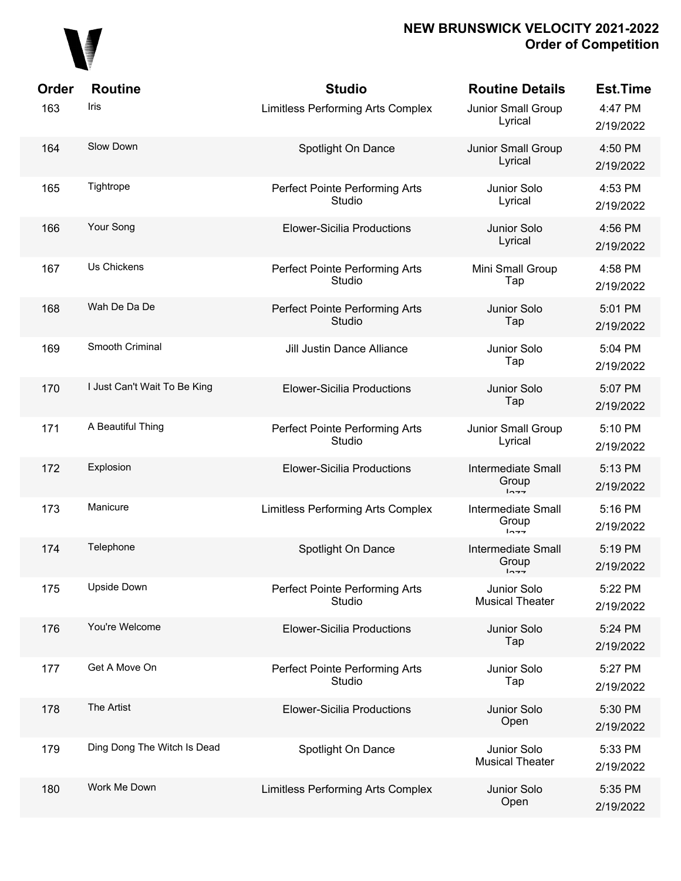

| Order<br>163 | <b>Routine</b><br>Iris       | <b>Studio</b><br>Limitless Performing Arts Complex | <b>Routine Details</b><br>Junior Small Group<br>Lyrical | <b>Est.Time</b><br>4:47 PM<br>2/19/2022 |
|--------------|------------------------------|----------------------------------------------------|---------------------------------------------------------|-----------------------------------------|
| 164          | Slow Down                    | Spotlight On Dance                                 | Junior Small Group<br>Lyrical                           | 4:50 PM<br>2/19/2022                    |
| 165          | Tightrope                    | Perfect Pointe Performing Arts<br>Studio           | Junior Solo<br>Lyrical                                  | 4:53 PM<br>2/19/2022                    |
| 166          | Your Song                    | <b>Elower-Sicilia Productions</b>                  | Junior Solo<br>Lyrical                                  | 4:56 PM<br>2/19/2022                    |
| 167          | Us Chickens                  | Perfect Pointe Performing Arts<br>Studio           | Mini Small Group<br>Tap                                 | 4:58 PM<br>2/19/2022                    |
| 168          | Wah De Da De                 | Perfect Pointe Performing Arts<br>Studio           | Junior Solo<br>Tap                                      | 5:01 PM<br>2/19/2022                    |
| 169          | Smooth Criminal              | Jill Justin Dance Alliance                         | Junior Solo<br>Tap                                      | 5:04 PM<br>2/19/2022                    |
| 170          | I Just Can't Wait To Be King | <b>Elower-Sicilia Productions</b>                  | Junior Solo<br>Tap                                      | 5:07 PM<br>2/19/2022                    |
| 171          | A Beautiful Thing            | Perfect Pointe Performing Arts<br>Studio           | Junior Small Group<br>Lyrical                           | 5:10 PM<br>2/19/2022                    |
| 172          | Explosion                    | <b>Elower-Sicilia Productions</b>                  | <b>Intermediate Small</b><br>Group<br>$ln - -$          | 5:13 PM<br>2/19/2022                    |
| 173          | Manicure                     | Limitless Performing Arts Complex                  | <b>Intermediate Small</b><br>Group<br>$ln - -$          | 5:16 PM<br>2/19/2022                    |
| 174          | Telephone                    | Spotlight On Dance                                 | <b>Intermediate Small</b><br>Group<br>$1 - - -$         | 5:19 PM<br>2/19/2022                    |
| 175          | <b>Upside Down</b>           | Perfect Pointe Performing Arts<br>Studio           | Junior Solo<br><b>Musical Theater</b>                   | 5:22 PM<br>2/19/2022                    |
| 176          | You're Welcome               | <b>Elower-Sicilia Productions</b>                  | Junior Solo<br>Tap                                      | 5:24 PM<br>2/19/2022                    |
| 177          | Get A Move On                | Perfect Pointe Performing Arts<br>Studio           | Junior Solo<br>Tap                                      | 5:27 PM<br>2/19/2022                    |
| 178          | The Artist                   | <b>Elower-Sicilia Productions</b>                  | Junior Solo<br>Open                                     | 5:30 PM<br>2/19/2022                    |
| 179          | Ding Dong The Witch Is Dead  | Spotlight On Dance                                 | Junior Solo<br><b>Musical Theater</b>                   | 5:33 PM<br>2/19/2022                    |
| 180          | Work Me Down                 | Limitless Performing Arts Complex                  | Junior Solo<br>Open                                     | 5:35 PM<br>2/19/2022                    |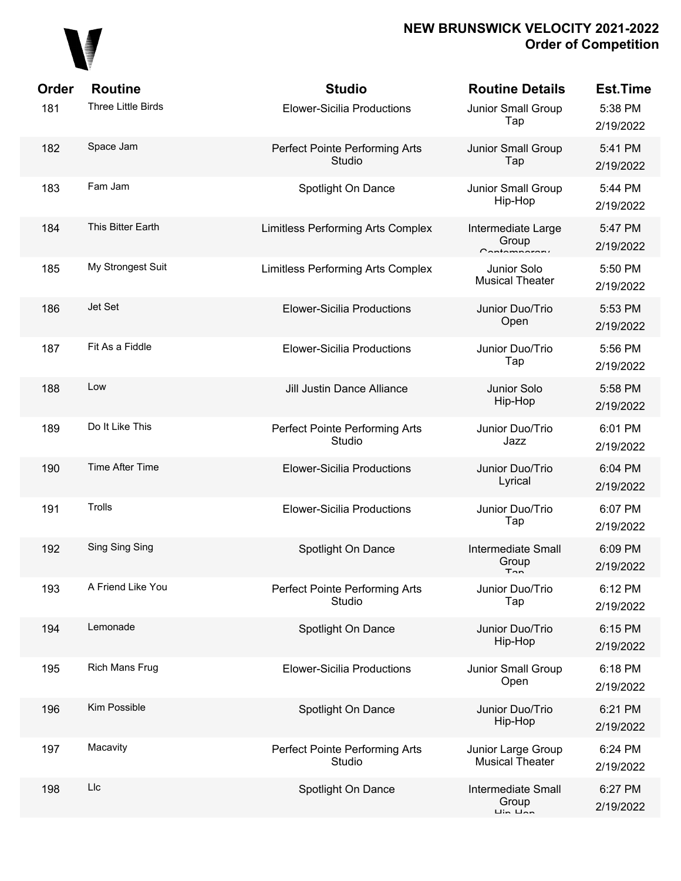

| Order | <b>Routine</b>        | <b>Studio</b>                            | <b>Routine Details</b>                                                 | <b>Est.Time</b>      |
|-------|-----------------------|------------------------------------------|------------------------------------------------------------------------|----------------------|
| 181   | Three Little Birds    | <b>Elower-Sicilia Productions</b>        | Junior Small Group<br>Tap                                              | 5:38 PM<br>2/19/2022 |
| 182   | Space Jam             | Perfect Pointe Performing Arts<br>Studio | Junior Small Group<br>Tap                                              | 5:41 PM<br>2/19/2022 |
| 183   | Fam Jam               | Spotlight On Dance                       | Junior Small Group<br>Hip-Hop                                          | 5:44 PM<br>2/19/2022 |
| 184   | This Bitter Earth     | Limitless Performing Arts Complex        | Intermediate Large<br>Group<br>Contemperary                            | 5:47 PM<br>2/19/2022 |
| 185   | My Strongest Suit     | Limitless Performing Arts Complex        | Junior Solo<br><b>Musical Theater</b>                                  | 5:50 PM<br>2/19/2022 |
| 186   | Jet Set               | <b>Elower-Sicilia Productions</b>        | Junior Duo/Trio<br>Open                                                | 5:53 PM<br>2/19/2022 |
| 187   | Fit As a Fiddle       | <b>Elower-Sicilia Productions</b>        | Junior Duo/Trio<br>Tap                                                 | 5:56 PM<br>2/19/2022 |
| 188   | Low                   | Jill Justin Dance Alliance               | Junior Solo<br>Hip-Hop                                                 | 5:58 PM<br>2/19/2022 |
| 189   | Do It Like This       | Perfect Pointe Performing Arts<br>Studio | Junior Duo/Trio<br>Jazz                                                | 6:01 PM<br>2/19/2022 |
| 190   | Time After Time       | <b>Elower-Sicilia Productions</b>        | Junior Duo/Trio<br>Lyrical                                             | 6:04 PM<br>2/19/2022 |
| 191   | Trolls                | <b>Elower-Sicilia Productions</b>        | Junior Duo/Trio<br>Tap                                                 | 6:07 PM<br>2/19/2022 |
| 192   | Sing Sing Sing        | Spotlight On Dance                       | <b>Intermediate Small</b><br>Group<br>Ton                              | 6:09 PM<br>2/19/2022 |
| 193   | A Friend Like You     | Perfect Pointe Performing Arts<br>Studio | Junior Duo/Trio<br>Tap                                                 | 6:12 PM<br>2/19/2022 |
| 194   | Lemonade              | Spotlight On Dance                       | Junior Duo/Trio<br>Hip-Hop                                             | 6:15 PM<br>2/19/2022 |
| 195   | <b>Rich Mans Frug</b> | <b>Elower-Sicilia Productions</b>        | Junior Small Group<br>Open                                             | 6:18 PM<br>2/19/2022 |
| 196   | Kim Possible          | Spotlight On Dance                       | Junior Duo/Trio<br>Hip-Hop                                             | 6:21 PM<br>2/19/2022 |
| 197   | Macavity              | Perfect Pointe Performing Arts<br>Studio | Junior Large Group<br><b>Musical Theater</b>                           | 6:24 PM<br>2/19/2022 |
| 198   | Llc                   | Spotlight On Dance                       | <b>Intermediate Small</b><br>Group<br>$\overline{L}$ in $\overline{L}$ | 6:27 PM<br>2/19/2022 |
|       |                       |                                          |                                                                        |                      |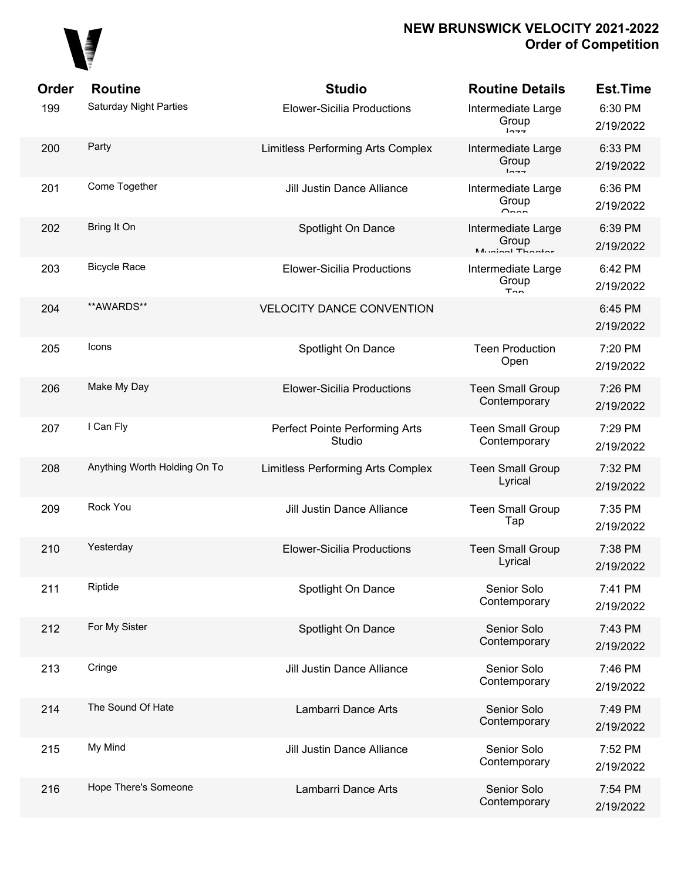# 

| Order | <b>Routine</b>                | <b>Studio</b>                            | <b>Routine Details</b>                         | <b>Est.Time</b>      |
|-------|-------------------------------|------------------------------------------|------------------------------------------------|----------------------|
| 199   | <b>Saturday Night Parties</b> | <b>Elower-Sicilia Productions</b>        | Intermediate Large<br>Group<br>10.77           | 6:30 PM<br>2/19/2022 |
| 200   | Party                         | <b>Limitless Performing Arts Complex</b> | Intermediate Large<br>Group<br>10.77           | 6:33 PM<br>2/19/2022 |
| 201   | Come Together                 | Jill Justin Dance Alliance               | Intermediate Large<br>Group<br>$\sim$          | 6:36 PM<br>2/19/2022 |
| 202   | Bring It On                   | Spotlight On Dance                       | Intermediate Large<br>Group<br>Munical Thootor | 6:39 PM<br>2/19/2022 |
| 203   | <b>Bicycle Race</b>           | <b>Elower-Sicilia Productions</b>        | Intermediate Large<br>Group<br>$T_{\rm{on}}$   | 6:42 PM<br>2/19/2022 |
| 204   | **AWARDS**                    | <b>VELOCITY DANCE CONVENTION</b>         |                                                | 6:45 PM<br>2/19/2022 |
| 205   | Icons                         | Spotlight On Dance                       | <b>Teen Production</b><br>Open                 | 7:20 PM<br>2/19/2022 |
| 206   | Make My Day                   | <b>Elower-Sicilia Productions</b>        | <b>Teen Small Group</b><br>Contemporary        | 7:26 PM<br>2/19/2022 |
| 207   | I Can Fly                     | Perfect Pointe Performing Arts<br>Studio | <b>Teen Small Group</b><br>Contemporary        | 7:29 PM<br>2/19/2022 |
| 208   | Anything Worth Holding On To  | Limitless Performing Arts Complex        | <b>Teen Small Group</b><br>Lyrical             | 7:32 PM<br>2/19/2022 |
| 209   | Rock You                      | Jill Justin Dance Alliance               | <b>Teen Small Group</b><br>Tap                 | 7:35 PM<br>2/19/2022 |
| 210   | Yesterday                     | <b>Elower-Sicilia Productions</b>        | <b>Teen Small Group</b><br>Lyrical             | 7:38 PM<br>2/19/2022 |
| 211   | Riptide                       | Spotlight On Dance                       | Senior Solo<br>Contemporary                    | 7:41 PM<br>2/19/2022 |
| 212   | For My Sister                 | Spotlight On Dance                       | Senior Solo<br>Contemporary                    | 7:43 PM<br>2/19/2022 |
| 213   | Cringe                        | Jill Justin Dance Alliance               | Senior Solo<br>Contemporary                    | 7:46 PM<br>2/19/2022 |
| 214   | The Sound Of Hate             | Lambarri Dance Arts                      | Senior Solo<br>Contemporary                    | 7:49 PM<br>2/19/2022 |
| 215   | My Mind                       | Jill Justin Dance Alliance               | Senior Solo<br>Contemporary                    | 7:52 PM<br>2/19/2022 |
| 216   | Hope There's Someone          | Lambarri Dance Arts                      | Senior Solo<br>Contemporary                    | 7:54 PM<br>2/19/2022 |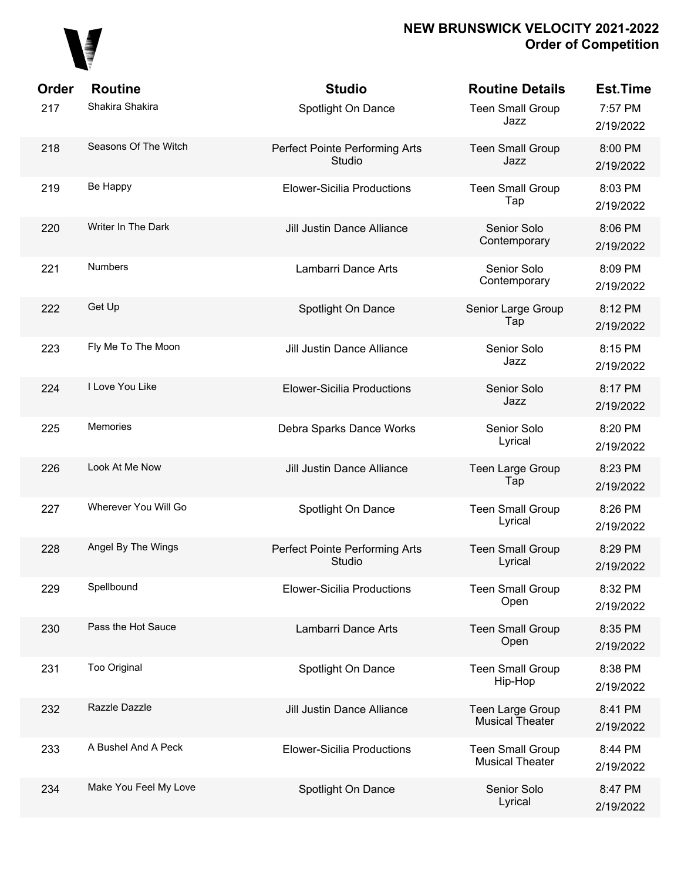

| <b>Order</b> | <b>Routine</b>        | <b>Studio</b>                            | <b>Routine Details</b>                            | <b>Est.Time</b>      |
|--------------|-----------------------|------------------------------------------|---------------------------------------------------|----------------------|
| 217          | Shakira Shakira       | Spotlight On Dance                       | <b>Teen Small Group</b><br>Jazz                   | 7:57 PM<br>2/19/2022 |
| 218          | Seasons Of The Witch  | Perfect Pointe Performing Arts<br>Studio | <b>Teen Small Group</b><br>Jazz                   | 8:00 PM<br>2/19/2022 |
| 219          | Be Happy              | <b>Elower-Sicilia Productions</b>        | <b>Teen Small Group</b><br>Tap                    | 8:03 PM<br>2/19/2022 |
| 220          | Writer In The Dark    | <b>Jill Justin Dance Alliance</b>        | Senior Solo<br>Contemporary                       | 8:06 PM<br>2/19/2022 |
| 221          | <b>Numbers</b>        | Lambarri Dance Arts                      | Senior Solo<br>Contemporary                       | 8:09 PM<br>2/19/2022 |
| 222          | Get Up                | Spotlight On Dance                       | Senior Large Group<br>Tap                         | 8:12 PM<br>2/19/2022 |
| 223          | Fly Me To The Moon    | <b>Jill Justin Dance Alliance</b>        | Senior Solo<br>Jazz                               | 8:15 PM<br>2/19/2022 |
| 224          | I Love You Like       | <b>Elower-Sicilia Productions</b>        | Senior Solo<br>Jazz                               | 8:17 PM<br>2/19/2022 |
| 225          | Memories              | Debra Sparks Dance Works                 | Senior Solo<br>Lyrical                            | 8:20 PM<br>2/19/2022 |
| 226          | Look At Me Now        | <b>Jill Justin Dance Alliance</b>        | Teen Large Group<br>Tap                           | 8:23 PM<br>2/19/2022 |
| 227          | Wherever You Will Go  | Spotlight On Dance                       | <b>Teen Small Group</b><br>Lyrical                | 8:26 PM<br>2/19/2022 |
| 228          | Angel By The Wings    | Perfect Pointe Performing Arts<br>Studio | <b>Teen Small Group</b><br>Lyrical                | 8:29 PM<br>2/19/2022 |
| 229          | Spellbound            | <b>Elower-Sicilia Productions</b>        | <b>Teen Small Group</b><br>Open                   | 8:32 PM<br>2/19/2022 |
| 230          | Pass the Hot Sauce    | Lambarri Dance Arts                      | <b>Teen Small Group</b><br>Open                   | 8:35 PM<br>2/19/2022 |
| 231          | Too Original          | Spotlight On Dance                       | <b>Teen Small Group</b><br>Hip-Hop                | 8:38 PM<br>2/19/2022 |
| 232          | Razzle Dazzle         | Jill Justin Dance Alliance               | Teen Large Group<br><b>Musical Theater</b>        | 8:41 PM<br>2/19/2022 |
| 233          | A Bushel And A Peck   | <b>Elower-Sicilia Productions</b>        | <b>Teen Small Group</b><br><b>Musical Theater</b> | 8:44 PM<br>2/19/2022 |
| 234          | Make You Feel My Love | Spotlight On Dance                       | Senior Solo<br>Lyrical                            | 8:47 PM<br>2/19/2022 |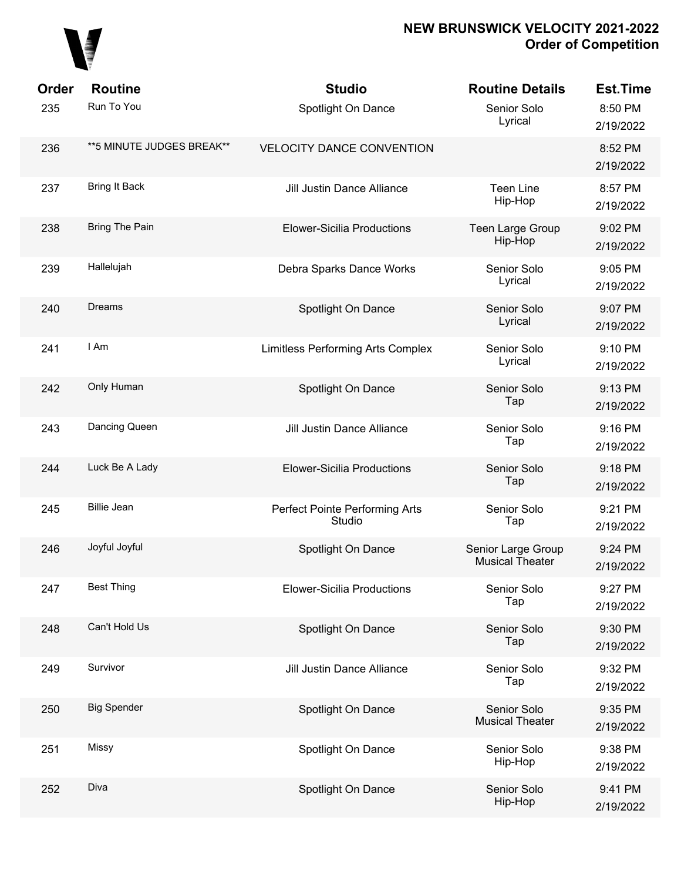

| Order | <b>Routine</b>             | <b>Studio</b>                            | <b>Routine Details</b>                       | <b>Est.Time</b>      |
|-------|----------------------------|------------------------------------------|----------------------------------------------|----------------------|
| 235   | Run To You                 | Spotlight On Dance                       | Senior Solo<br>Lyrical                       | 8:50 PM<br>2/19/2022 |
| 236   | ** 5 MINUTE JUDGES BREAK** | <b>VELOCITY DANCE CONVENTION</b>         |                                              | 8:52 PM<br>2/19/2022 |
| 237   | <b>Bring It Back</b>       | Jill Justin Dance Alliance               | <b>Teen Line</b><br>Hip-Hop                  | 8:57 PM<br>2/19/2022 |
| 238   | Bring The Pain             | <b>Elower-Sicilia Productions</b>        | Teen Large Group<br>Hip-Hop                  | 9:02 PM<br>2/19/2022 |
| 239   | Hallelujah                 | Debra Sparks Dance Works                 | Senior Solo<br>Lyrical                       | 9:05 PM<br>2/19/2022 |
| 240   | Dreams                     | Spotlight On Dance                       | Senior Solo<br>Lyrical                       | 9:07 PM<br>2/19/2022 |
| 241   | I Am                       | Limitless Performing Arts Complex        | Senior Solo<br>Lyrical                       | 9:10 PM<br>2/19/2022 |
| 242   | Only Human                 | Spotlight On Dance                       | Senior Solo<br>Tap                           | 9:13 PM<br>2/19/2022 |
| 243   | Dancing Queen              | <b>Jill Justin Dance Alliance</b>        | Senior Solo<br>Tap                           | 9:16 PM<br>2/19/2022 |
| 244   | Luck Be A Lady             | <b>Elower-Sicilia Productions</b>        | Senior Solo<br>Tap                           | 9:18 PM<br>2/19/2022 |
| 245   | <b>Billie Jean</b>         | Perfect Pointe Performing Arts<br>Studio | Senior Solo<br>Tap                           | 9:21 PM<br>2/19/2022 |
| 246   | Joyful Joyful              | Spotlight On Dance                       | Senior Large Group<br><b>Musical Theater</b> | 9:24 PM<br>2/19/2022 |
| 247   | <b>Best Thing</b>          | <b>Elower-Sicilia Productions</b>        | Senior Solo<br>Tap                           | 9:27 PM<br>2/19/2022 |
| 248   | Can't Hold Us              | Spotlight On Dance                       | Senior Solo<br>Tap                           | 9:30 PM<br>2/19/2022 |
| 249   | Survivor                   | Jill Justin Dance Alliance               | Senior Solo<br>Tap                           | 9:32 PM<br>2/19/2022 |
| 250   | <b>Big Spender</b>         | Spotlight On Dance                       | Senior Solo<br><b>Musical Theater</b>        | 9:35 PM<br>2/19/2022 |
| 251   | Missy                      | Spotlight On Dance                       | Senior Solo<br>Hip-Hop                       | 9:38 PM<br>2/19/2022 |
| 252   | Diva                       | Spotlight On Dance                       | Senior Solo<br>Hip-Hop                       | 9:41 PM<br>2/19/2022 |